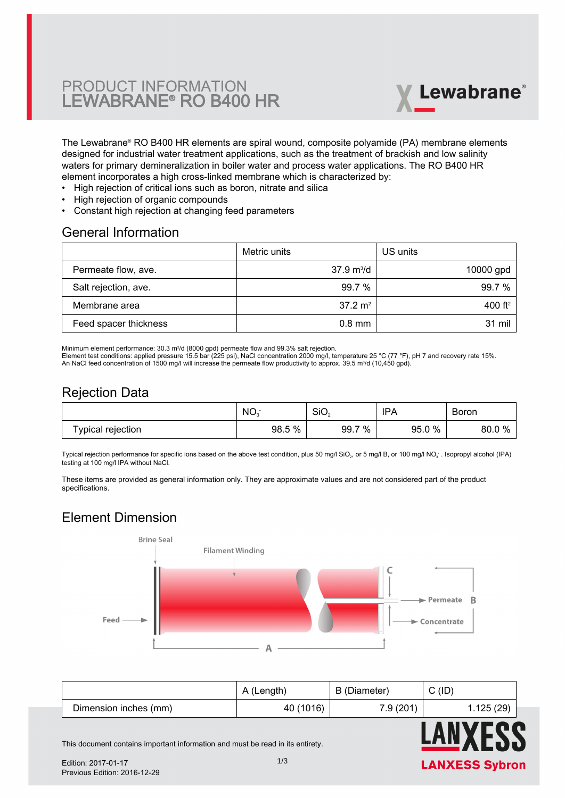# PRODUCT INFORMATION LEWABRANE® RO B400 HR



The Lewabrane® RO B400 HR elements are spiral wound, composite polyamide (PA) membrane elements [designed for industrial water treatment applications, such as the treatment of brackish and low salinity](https://www.pureaqua.com/lanxess-lewabrane-b400-hr-membrane/) waters for primary demineralization in boiler water and process water applications. The RO B400 HR element incorporates a high cross-linked membrane which is characterized by:

- High rejection of critical ions such as boron, nitrate and silica
- High rejection of organic compounds
- Constant high rejection at changing feed parameters

#### General Information

|                       | Metric units                | US units    |
|-----------------------|-----------------------------|-------------|
| Permeate flow, ave.   | $37.9 \text{ m}^3/\text{d}$ | $10000$ gpd |
| Salt rejection, ave.  | 99.7%                       | 99.7%       |
| Membrane area         | $37.2 \text{ m}^2$          | 400 $ft^2$  |
| Feed spacer thickness | $0.8$ mm                    | 31 mil      |

Minimum element performance: 30.3 m<sup>3</sup> /d (8000 gpd) permeate flow and 99.3% salt rejection.

Element test conditions: applied pressure 15.5 bar (225 psi), NaCl concentration 2000 mg/l, temperature 25 °C (77 °F), pH 7 and recovery rate 15%.

An NaCl feed concentration of 1500 mg/l will increase the permeate flow productivity to approx. 39.5 m<sup>3</sup>/d (10,450 gpd).

## Rejection Data

|                      | NO.       | SiO <sub>2</sub> | 'PA           | -<br><b>Boron</b>      |
|----------------------|-----------|------------------|---------------|------------------------|
| rejection<br>ˈvɒical | %<br>98.5 | %<br>-<br>99.7   | $0\%$<br>95.0 | <b>O</b><br>80.0<br>7ο |

Typical rejection performance for specific ions based on the above test condition, plus 50 mg/l SiO $_2$ , or 5 mg/l B, or 100 mg/l NO $_3$  . Isopropyl alcohol (IPA) testing at 100 mg/l IPA without NaCl.

These items are provided as general information only. They are approximate values and are not considered part of the product specifications.

# Element Dimension



|                       | A (Length) | B (Diameter) | C(ID)      |
|-----------------------|------------|--------------|------------|
| Dimension inches (mm) | 40 (1016)  | 7.9(201)     | 1.125 (29) |



This document contains important information and must be read in its entirety.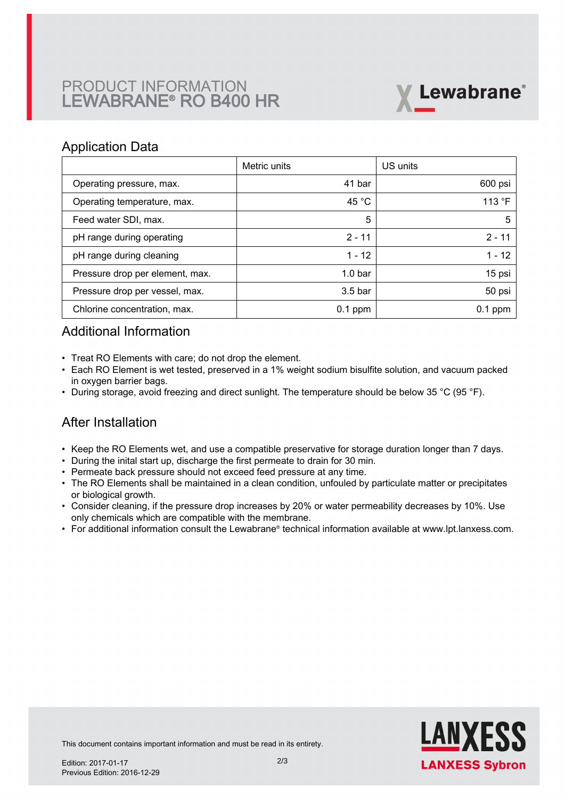# PRODUCT INFORMATION LEWABRANE® RO B400 HR



### Application Data

|                                 | Metric units       | US units  |
|---------------------------------|--------------------|-----------|
| Operating pressure, max.        | 41 bar             | 600 psi   |
| Operating temperature, max.     | 45 $^{\circ}$ C    | 113 °F    |
| Feed water SDI, max.            | 5                  | 5         |
| pH range during operating       | $2 - 11$           | $2 - 11$  |
| pH range during cleaning        | $1 - 12$           | 1 - 12    |
| Pressure drop per element, max. | 1.0 <sub>bar</sub> | 15 psi    |
| Pressure drop per vessel, max.  | $3.5b$ ar          | 50 psi    |
| Chlorine concentration, max.    | $0.1$ ppm          | $0.1$ ppm |

# Additional Information

- Treat RO Elements with care; do not drop the element.
- Each RO Element is wet tested, preserved in a 1% weight sodium bisulfite solution, and vacuum packed in oxygen barrier bags.
- During storage, avoid freezing and direct sunlight. The temperature should be below 35 °C (95 °F).

# After Installation

- Keep the RO Elements wet, and use a compatible preservative for storage duration longer than 7 days.
- During the inital start up, discharge the first permeate to drain for 30 min.
- Permeate back pressure should not exceed feed pressure at any time.
- The RO Elements shall be maintained in a clean condition, unfouled by particulate matter or precipitates or biological growth.
- $\bullet~$  Consider cleaning, if the pressure drop increases by 20% or water permeability decreases by 10%. Use only chemicals which are compatible with the membrane.
- For additional information consult the Lewabrane® technical information available at www.lpt.lanxess.com.



This document contains important information and must be read in its entirety.